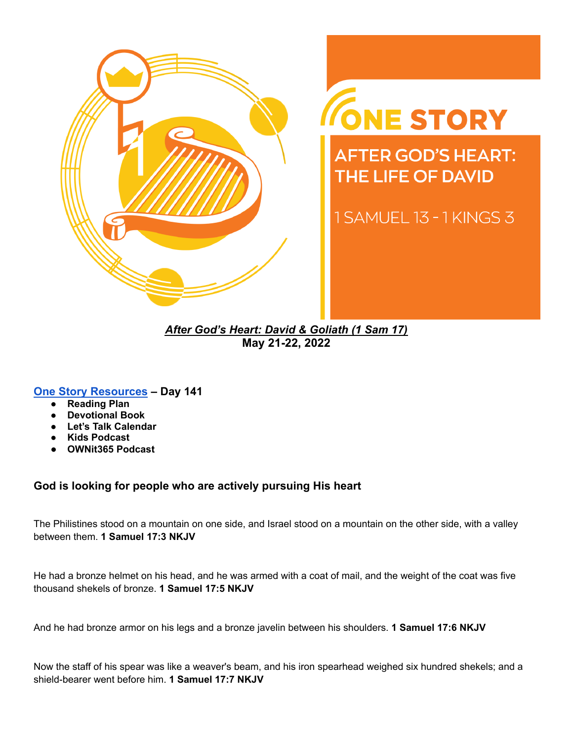

# ONE STORY

**AFTER GOD'S HEART: THE LIFE OF DAVID** 

1 SAMUEL 13 - 1 KINGS 3

*After God's Heart: David & Goliath (1 Sam 17)* **May 21-22, 2022**

## **[One Story Resources](https://visitgracechurch.com/onestory) – Day 141**

- **Reading Plan**
- **● Devotional Book**
- **Let's Talk Calendar**
- **Kids Podcast**
- **● OWNit365 Podcast**

## **God is looking for people who are actively pursuing His heart**

The Philistines stood on a mountain on one side, and Israel stood on a mountain on the other side, with a valley between them. **1 Samuel 17:3 NKJV**

He had a bronze helmet on his head, and he was armed with a coat of mail, and the weight of the coat was five thousand shekels of bronze. **1 Samuel 17:5 NKJV**

And he had bronze armor on his legs and a bronze javelin between his shoulders. **1 Samuel 17:6 NKJV**

Now the staff of his spear was like a weaver's beam, and his iron spearhead weighed six hundred shekels; and a shield-bearer went before him. **1 Samuel 17:7 NKJV**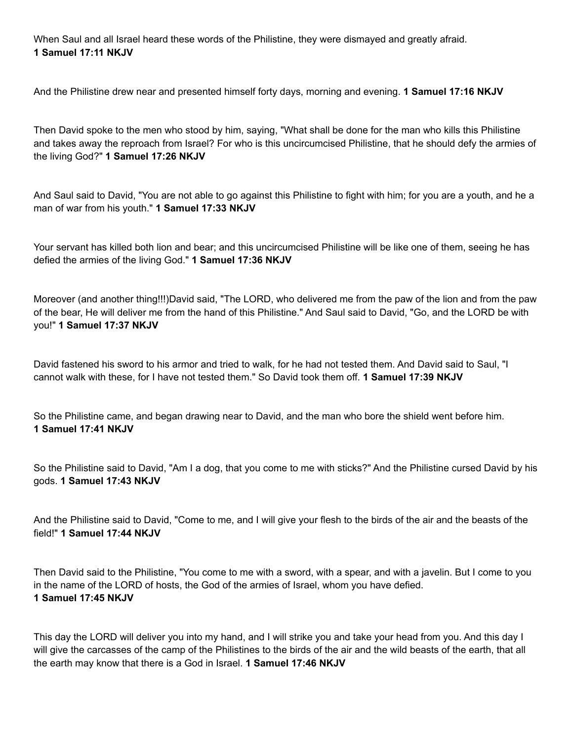When Saul and all Israel heard these words of the Philistine, they were dismayed and greatly afraid. **1 Samuel 17:11 NKJV**

And the Philistine drew near and presented himself forty days, morning and evening. **1 Samuel 17:16 NKJV**

Then David spoke to the men who stood by him, saying, "What shall be done for the man who kills this Philistine and takes away the reproach from Israel? For who is this uncircumcised Philistine, that he should defy the armies of the living God?" **1 Samuel 17:26 NKJV**

And Saul said to David, "You are not able to go against this Philistine to fight with him; for you are a youth, and he a man of war from his youth." **1 Samuel 17:33 NKJV**

Your servant has killed both lion and bear; and this uncircumcised Philistine will be like one of them, seeing he has defied the armies of the living God." **1 Samuel 17:36 NKJV**

Moreover (and another thing!!!)David said, "The LORD, who delivered me from the paw of the lion and from the paw of the bear, He will deliver me from the hand of this Philistine." And Saul said to David, "Go, and the LORD be with you!" **1 Samuel 17:37 NKJV**

David fastened his sword to his armor and tried to walk, for he had not tested them. And David said to Saul, "I cannot walk with these, for I have not tested them." So David took them off. **1 Samuel 17:39 NKJV**

So the Philistine came, and began drawing near to David, and the man who bore the shield went before him. **1 Samuel 17:41 NKJV**

So the Philistine said to David, "Am I a dog, that you come to me with sticks?" And the Philistine cursed David by his gods. **1 Samuel 17:43 NKJV**

And the Philistine said to David, "Come to me, and I will give your flesh to the birds of the air and the beasts of the field!" **1 Samuel 17:44 NKJV**

Then David said to the Philistine, "You come to me with a sword, with a spear, and with a javelin. But I come to you in the name of the LORD of hosts, the God of the armies of Israel, whom you have defied. **1 Samuel 17:45 NKJV**

This day the LORD will deliver you into my hand, and I will strike you and take your head from you. And this day I will give the carcasses of the camp of the Philistines to the birds of the air and the wild beasts of the earth, that all the earth may know that there is a God in Israel. **1 Samuel 17:46 NKJV**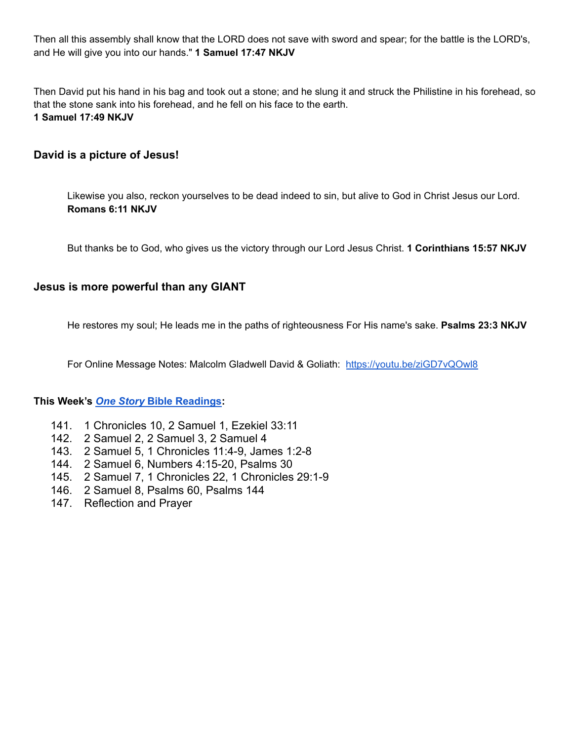Then all this assembly shall know that the LORD does not save with sword and spear; for the battle is the LORD's, and He will give you into our hands." **1 Samuel 17:47 NKJV**

Then David put his hand in his bag and took out a stone; and he slung it and struck the Philistine in his forehead, so that the stone sank into his forehead, and he fell on his face to the earth. **1 Samuel 17:49 NKJV**

## **David is a picture of Jesus!**

Likewise you also, reckon yourselves to be dead indeed to sin, but alive to God in Christ Jesus our Lord. **Romans 6:11 NKJV**

But thanks be to God, who gives us the victory through our Lord Jesus Christ. **1 Corinthians 15:57 NKJV**

## **Jesus is more powerful than any GIANT**

He restores my soul; He leads me in the paths of righteousness For His name's sake. **Psalms 23:3 NKJV**

For Online Message Notes: Malcolm Gladwell David & Goliath: <https://youtu.be/ziGD7vQOwl8>

## **This Week's** *One Story* **Bible [Readings:](http://visitgracechurch.com/onestory)**

- 141. 1 Chronicles 10, 2 Samuel 1, Ezekiel 33:11
- 142. 2 Samuel 2, 2 Samuel 3, 2 Samuel 4
- 143. 2 Samuel 5, 1 Chronicles 11:4-9, James 1:2-8
- 144. 2 Samuel 6, Numbers 4:15-20, Psalms 30
- 145. 2 Samuel 7, 1 Chronicles 22, 1 Chronicles 29:1-9
- 146. 2 Samuel 8, Psalms 60, Psalms 144
- 147. Reflection and Prayer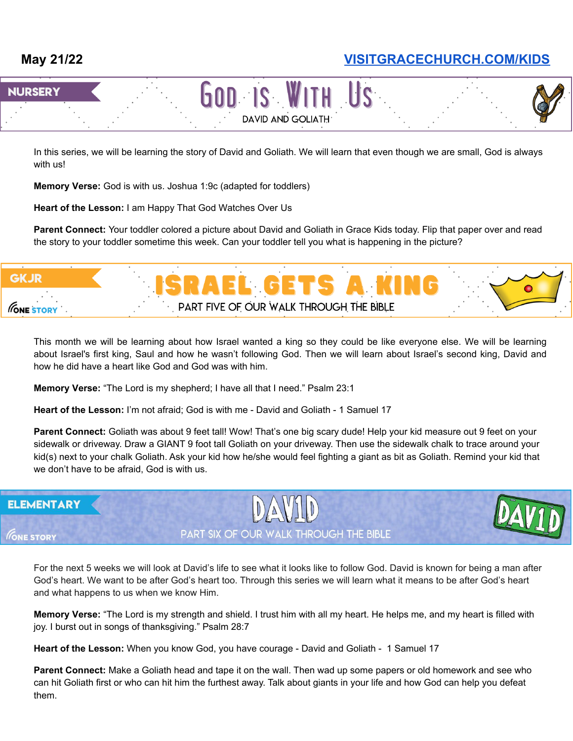# **May 21/22 [VISITGRACECHURCH.COM/KIDS](https://visitgracechurch.com/kids)**



In this series, we will be learning the story of David and Goliath. We will learn that even though we are small, God is always with us!

**Memory Verse:** God is with us. Joshua 1:9c (adapted for toddlers)

**Heart of the Lesson:** I am Happy That God Watches Over Us

**Parent Connect:** Your toddler colored a picture about David and Goliath in Grace Kids today. Flip that paper over and read the story to your toddler sometime this week. Can your toddler tell you what is happening in the picture?



This month we will be learning about how Israel wanted a king so they could be like everyone else. We will be learning about Israel's first king, Saul and how he wasn't following God. Then we will learn about Israel's second king, David and how he did have a heart like God and God was with him.

**Memory Verse:** "The Lord is my shepherd; I have all that I need." Psalm 23:1

**Heart of the Lesson:** I'm not afraid; God is with me - David and Goliath - 1 Samuel 17

**Parent Connect:** Goliath was about 9 feet tall! Wow! That's one big scary dude! Help your kid measure out 9 feet on your sidewalk or driveway. Draw a GIANT 9 foot tall Goliath on your driveway. Then use the sidewalk chalk to trace around your kid(s) next to your chalk Goliath. Ask your kid how he/she would feel fighting a giant as bit as Goliath. Remind your kid that we don't have to be afraid, God is with us.

#### **ELEMENTARY**





PART SIX OF OUR WALK THROUGH THE BIBLE

For the next 5 weeks we will look at David's life to see what it looks like to follow God. David is known for being a man after God's heart. We want to be after God's heart too. Through this series we will learn what it means to be after God's heart and what happens to us when we know Him.

**Memory Verse:** "The Lord is my strength and shield. I trust him with all my heart. He helps me, and my heart is filled with joy. I burst out in songs of thanksgiving." Psalm 28:7

**Heart of the Lesson:** When you know God, you have courage - David and Goliath - 1 Samuel 17

**Parent Connect:** Make a Goliath head and tape it on the wall. Then wad up some papers or old homework and see who can hit Goliath first or who can hit him the furthest away. Talk about giants in your life and how God can help you defeat them.